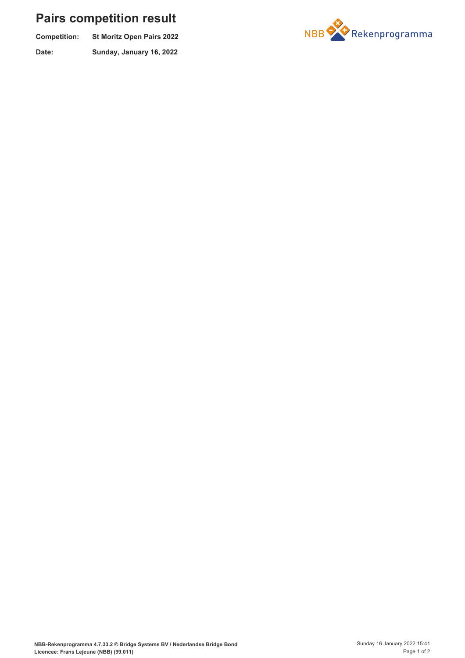## **Pairs competition result**

| <b>Competition:</b> | <b>St Moritz Open Pairs 2022</b> |
|---------------------|----------------------------------|
| Date:               | Sunday, January 16, 2022         |